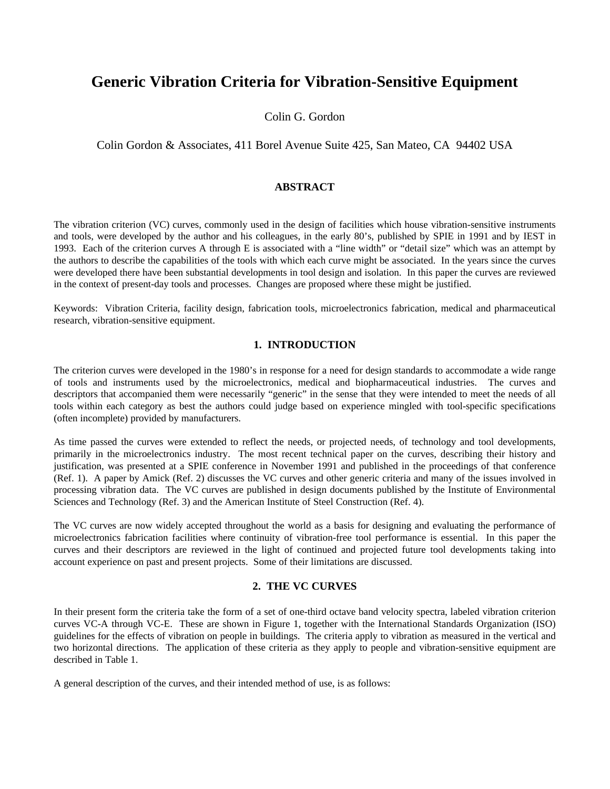# **Generic Vibration Criteria for Vibration-Sensitive Equipment**

Colin G. Gordon

Colin Gordon & Associates, 411 Borel Avenue Suite 425, San Mateo, CA 94402 USA

#### **ABSTRACT**

The vibration criterion (VC) curves, commonly used in the design of facilities which house vibration-sensitive instruments and tools, were developed by the author and his colleagues, in the early 80's, published by SPIE in 1991 and by IEST in 1993. Each of the criterion curves A through E is associated with a "line width" or "detail size" which was an attempt by the authors to describe the capabilities of the tools with which each curve might be associated. In the years since the curves were developed there have been substantial developments in tool design and isolation. In this paper the curves are reviewed in the context of present-day tools and processes. Changes are proposed where these might be justified.

Keywords: Vibration Criteria, facility design, fabrication tools, microelectronics fabrication, medical and pharmaceutical research, vibration-sensitive equipment.

## **1. INTRODUCTION**

The criterion curves were developed in the 1980's in response for a need for design standards to accommodate a wide range of tools and instruments used by the microelectronics, medical and biopharmaceutical industries. The curves and descriptors that accompanied them were necessarily "generic" in the sense that they were intended to meet the needs of all tools within each category as best the authors could judge based on experience mingled with tool-specific specifications (often incomplete) provided by manufacturers.

As time passed the curves were extended to reflect the needs, or projected needs, of technology and tool developments, primarily in the microelectronics industry. The most recent technical paper on the curves, describing their history and justification, was presented at a SPIE conference in November 1991 and published in the proceedings of that conference (Ref. 1). A paper by Amick (Ref. 2) discusses the VC curves and other generic criteria and many of the issues involved in processing vibration data. The VC curves are published in design documents published by the Institute of Environmental Sciences and Technology (Ref. 3) and the American Institute of Steel Construction (Ref. 4).

The VC curves are now widely accepted throughout the world as a basis for designing and evaluating the performance of microelectronics fabrication facilities where continuity of vibration-free tool performance is essential. In this paper the curves and their descriptors are reviewed in the light of continued and projected future tool developments taking into account experience on past and present projects. Some of their limitations are discussed.

#### **2. THE VC CURVES**

In their present form the criteria take the form of a set of one-third octave band velocity spectra, labeled vibration criterion curves VC-A through VC-E. These are shown in Figure 1, together with the International Standards Organization (ISO) guidelines for the effects of vibration on people in buildings. The criteria apply to vibration as measured in the vertical and two horizontal directions. The application of these criteria as they apply to people and vibration-sensitive equipment are described in Table 1.

A general description of the curves, and their intended method of use, is as follows: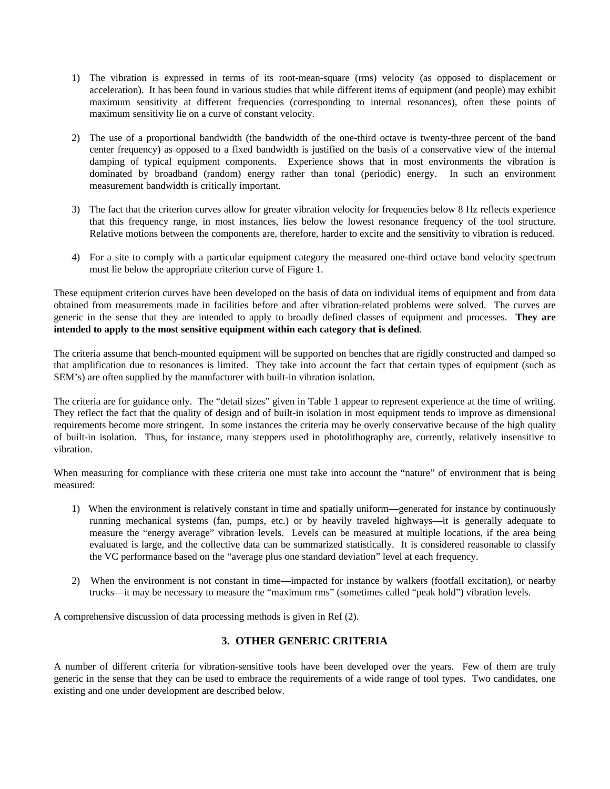- 1) The vibration is expressed in terms of its root-mean-square (rms) velocity (as opposed to displacement or acceleration). It has been found in various studies that while different items of equipment (and people) may exhibit maximum sensitivity at different frequencies (corresponding to internal resonances), often these points of maximum sensitivity lie on a curve of constant velocity.
- 2) The use of a proportional bandwidth (the bandwidth of the one-third octave is twenty-three percent of the band center frequency) as opposed to a fixed bandwidth is justified on the basis of a conservative view of the internal damping of typical equipment components. Experience shows that in most environments the vibration is dominated by broadband (random) energy rather than tonal (periodic) energy. In such an environment measurement bandwidth is critically important.
- 3) The fact that the criterion curves allow for greater vibration velocity for frequencies below 8 Hz reflects experience that this frequency range, in most instances, lies below the lowest resonance frequency of the tool structure. Relative motions between the components are, therefore, harder to excite and the sensitivity to vibration is reduced.
- 4) For a site to comply with a particular equipment category the measured one-third octave band velocity spectrum must lie below the appropriate criterion curve of Figure 1.

These equipment criterion curves have been developed on the basis of data on individual items of equipment and from data obtained from measurements made in facilities before and after vibration-related problems were solved. The curves are generic in the sense that they are intended to apply to broadly defined classes of equipment and processes. **They are intended to apply to the most sensitive equipment within each category that is defined**.

The criteria assume that bench-mounted equipment will be supported on benches that are rigidly constructed and damped so that amplification due to resonances is limited. They take into account the fact that certain types of equipment (such as SEM's) are often supplied by the manufacturer with built-in vibration isolation.

The criteria are for guidance only. The "detail sizes" given in Table 1 appear to represent experience at the time of writing. They reflect the fact that the quality of design and of built-in isolation in most equipment tends to improve as dimensional requirements become more stringent. In some instances the criteria may be overly conservative because of the high quality of built-in isolation. Thus, for instance, many steppers used in photolithography are, currently, relatively insensitive to vibration.

When measuring for compliance with these criteria one must take into account the "nature" of environment that is being measured:

- 1) When the environment is relatively constant in time and spatially uniform—generated for instance by continuously running mechanical systems (fan, pumps, etc.) or by heavily traveled highways—it is generally adequate to measure the "energy average" vibration levels. Levels can be measured at multiple locations, if the area being evaluated is large, and the collective data can be summarized statistically. It is considered reasonable to classify the VC performance based on the "average plus one standard deviation" level at each frequency.
- 2) When the environment is not constant in time—impacted for instance by walkers (footfall excitation), or nearby trucks—it may be necessary to measure the "maximum rms" (sometimes called "peak hold") vibration levels.

A comprehensive discussion of data processing methods is given in Ref (2).

## **3. OTHER GENERIC CRITERIA**

A number of different criteria for vibration-sensitive tools have been developed over the years. Few of them are truly generic in the sense that they can be used to embrace the requirements of a wide range of tool types. Two candidates, one existing and one under development are described below.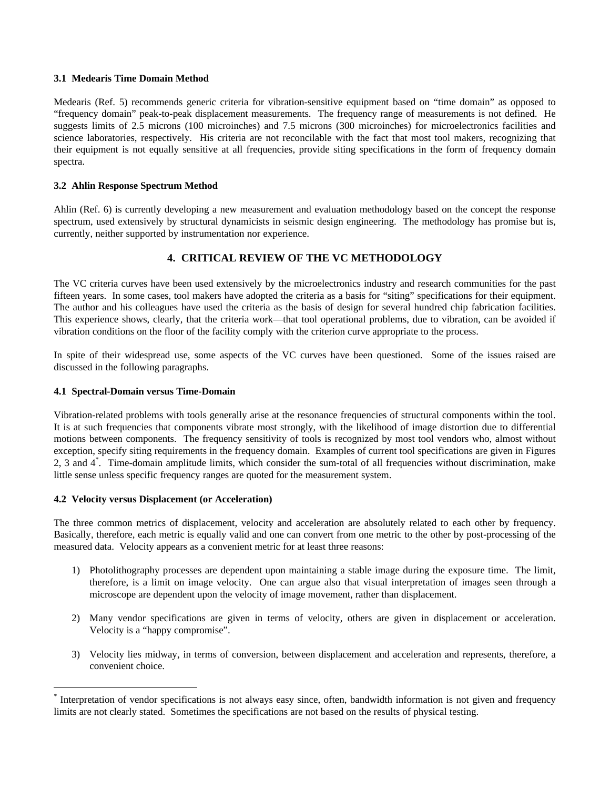#### **3.1 Medearis Time Domain Method**

Medearis (Ref. 5) recommends generic criteria for vibration-sensitive equipment based on "time domain" as opposed to "frequency domain" peak-to-peak displacement measurements. The frequency range of measurements is not defined. He suggests limits of 2.5 microns (100 microinches) and 7.5 microns (300 microinches) for microelectronics facilities and science laboratories, respectively. His criteria are not reconcilable with the fact that most tool makers, recognizing that their equipment is not equally sensitive at all frequencies, provide siting specifications in the form of frequency domain spectra.

#### **3.2 Ahlin Response Spectrum Method**

Ahlin (Ref. 6) is currently developing a new measurement and evaluation methodology based on the concept the response spectrum, used extensively by structural dynamicists in seismic design engineering. The methodology has promise but is, currently, neither supported by instrumentation nor experience.

## **4. CRITICAL REVIEW OF THE VC METHODOLOGY**

The VC criteria curves have been used extensively by the microelectronics industry and research communities for the past fifteen years. In some cases, tool makers have adopted the criteria as a basis for "siting" specifications for their equipment. The author and his colleagues have used the criteria as the basis of design for several hundred chip fabrication facilities. This experience shows, clearly, that the criteria work—that tool operational problems, due to vibration, can be avoided if vibration conditions on the floor of the facility comply with the criterion curve appropriate to the process.

In spite of their widespread use, some aspects of the VC curves have been questioned. Some of the issues raised are discussed in the following paragraphs.

#### **4.1 Spectral-Domain versus Time-Domain**

Vibration-related problems with tools generally arise at the resonance frequencies of structural components within the tool. It is at such frequencies that components vibrate most strongly, with the likelihood of image distortion due to differential motions between components. The frequency sensitivity of tools is recognized by most tool vendors who, almost without exception, specify siting requirements in the frequency domain. Examples of current tool specifications are given in Figures 2, 3 and 4\* . Time-domain amplitude limits, which consider the sum-total of all frequencies without discrimination, make little sense unless specific frequency ranges are quoted for the measurement system.

#### **4.2 Velocity versus Displacement (or Acceleration)**

 $\overline{a}$ 

The three common metrics of displacement, velocity and acceleration are absolutely related to each other by frequency. Basically, therefore, each metric is equally valid and one can convert from one metric to the other by post-processing of the measured data. Velocity appears as a convenient metric for at least three reasons:

- 1) Photolithography processes are dependent upon maintaining a stable image during the exposure time. The limit, therefore, is a limit on image velocity. One can argue also that visual interpretation of images seen through a microscope are dependent upon the velocity of image movement, rather than displacement.
- 2) Many vendor specifications are given in terms of velocity, others are given in displacement or acceleration. Velocity is a "happy compromise".
- 3) Velocity lies midway, in terms of conversion, between displacement and acceleration and represents, therefore, a convenient choice.

<sup>\*</sup> Interpretation of vendor specifications is not always easy since, often, bandwidth information is not given and frequency limits are not clearly stated. Sometimes the specifications are not based on the results of physical testing.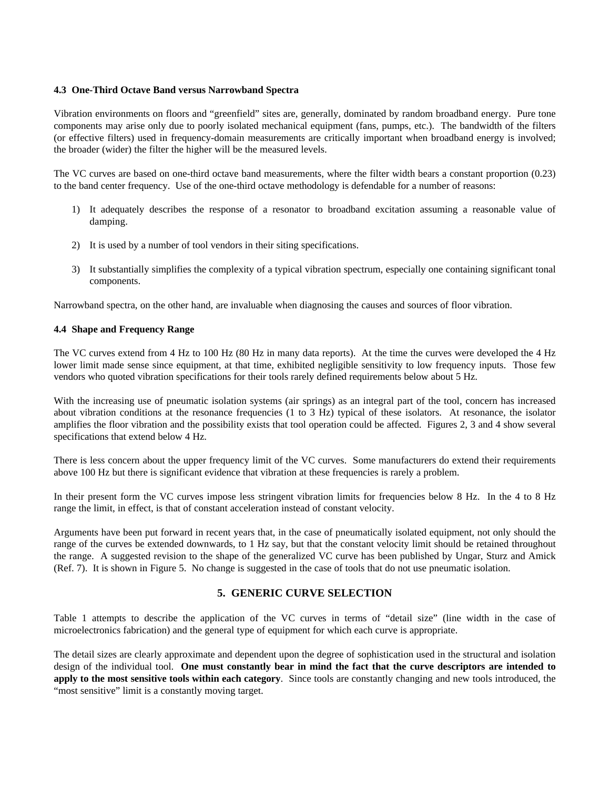#### **4.3 One-Third Octave Band versus Narrowband Spectra**

Vibration environments on floors and "greenfield" sites are, generally, dominated by random broadband energy. Pure tone components may arise only due to poorly isolated mechanical equipment (fans, pumps, etc.). The bandwidth of the filters (or effective filters) used in frequency-domain measurements are critically important when broadband energy is involved; the broader (wider) the filter the higher will be the measured levels.

The VC curves are based on one-third octave band measurements, where the filter width bears a constant proportion (0.23) to the band center frequency. Use of the one-third octave methodology is defendable for a number of reasons:

- 1) It adequately describes the response of a resonator to broadband excitation assuming a reasonable value of damping.
- 2) It is used by a number of tool vendors in their siting specifications.
- 3) It substantially simplifies the complexity of a typical vibration spectrum, especially one containing significant tonal components.

Narrowband spectra, on the other hand, are invaluable when diagnosing the causes and sources of floor vibration.

## **4.4 Shape and Frequency Range**

The VC curves extend from 4 Hz to 100 Hz (80 Hz in many data reports). At the time the curves were developed the 4 Hz lower limit made sense since equipment, at that time, exhibited negligible sensitivity to low frequency inputs. Those few vendors who quoted vibration specifications for their tools rarely defined requirements below about 5 Hz.

With the increasing use of pneumatic isolation systems (air springs) as an integral part of the tool, concern has increased about vibration conditions at the resonance frequencies (1 to 3 Hz) typical of these isolators. At resonance, the isolator amplifies the floor vibration and the possibility exists that tool operation could be affected. Figures 2, 3 and 4 show several specifications that extend below 4 Hz.

There is less concern about the upper frequency limit of the VC curves. Some manufacturers do extend their requirements above 100 Hz but there is significant evidence that vibration at these frequencies is rarely a problem.

In their present form the VC curves impose less stringent vibration limits for frequencies below 8 Hz. In the 4 to 8 Hz range the limit, in effect, is that of constant acceleration instead of constant velocity.

Arguments have been put forward in recent years that, in the case of pneumatically isolated equipment, not only should the range of the curves be extended downwards, to 1 Hz say, but that the constant velocity limit should be retained throughout the range. A suggested revision to the shape of the generalized VC curve has been published by Ungar, Sturz and Amick (Ref. 7). It is shown in Figure 5. No change is suggested in the case of tools that do not use pneumatic isolation.

## **5. GENERIC CURVE SELECTION**

Table 1 attempts to describe the application of the VC curves in terms of "detail size" (line width in the case of microelectronics fabrication) and the general type of equipment for which each curve is appropriate.

The detail sizes are clearly approximate and dependent upon the degree of sophistication used in the structural and isolation design of the individual tool. **One must constantly bear in mind the fact that the curve descriptors are intended to apply to the most sensitive tools within each category**. Since tools are constantly changing and new tools introduced, the "most sensitive" limit is a constantly moving target.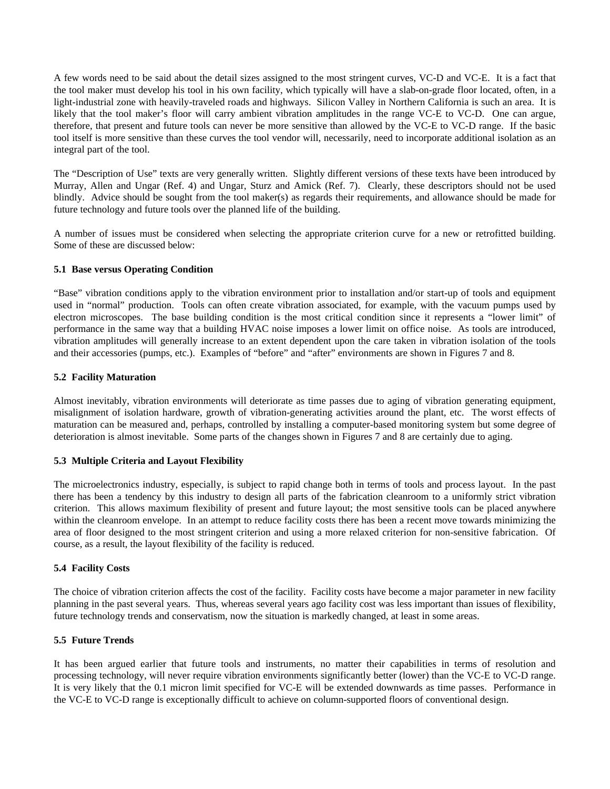A few words need to be said about the detail sizes assigned to the most stringent curves, VC-D and VC-E. It is a fact that the tool maker must develop his tool in his own facility, which typically will have a slab-on-grade floor located, often, in a light-industrial zone with heavily-traveled roads and highways. Silicon Valley in Northern California is such an area. It is likely that the tool maker's floor will carry ambient vibration amplitudes in the range VC-E to VC-D. One can argue, therefore, that present and future tools can never be more sensitive than allowed by the VC-E to VC-D range. If the basic tool itself is more sensitive than these curves the tool vendor will, necessarily, need to incorporate additional isolation as an integral part of the tool.

The "Description of Use" texts are very generally written. Slightly different versions of these texts have been introduced by Murray, Allen and Ungar (Ref. 4) and Ungar, Sturz and Amick (Ref. 7). Clearly, these descriptors should not be used blindly. Advice should be sought from the tool maker(s) as regards their requirements, and allowance should be made for future technology and future tools over the planned life of the building.

A number of issues must be considered when selecting the appropriate criterion curve for a new or retrofitted building. Some of these are discussed below:

#### **5.1 Base versus Operating Condition**

"Base" vibration conditions apply to the vibration environment prior to installation and/or start-up of tools and equipment used in "normal" production. Tools can often create vibration associated, for example, with the vacuum pumps used by electron microscopes. The base building condition is the most critical condition since it represents a "lower limit" of performance in the same way that a building HVAC noise imposes a lower limit on office noise. As tools are introduced, vibration amplitudes will generally increase to an extent dependent upon the care taken in vibration isolation of the tools and their accessories (pumps, etc.). Examples of "before" and "after" environments are shown in Figures 7 and 8.

#### **5.2 Facility Maturation**

Almost inevitably, vibration environments will deteriorate as time passes due to aging of vibration generating equipment, misalignment of isolation hardware, growth of vibration-generating activities around the plant, etc. The worst effects of maturation can be measured and, perhaps, controlled by installing a computer-based monitoring system but some degree of deterioration is almost inevitable. Some parts of the changes shown in Figures 7 and 8 are certainly due to aging.

#### **5.3 Multiple Criteria and Layout Flexibility**

The microelectronics industry, especially, is subject to rapid change both in terms of tools and process layout. In the past there has been a tendency by this industry to design all parts of the fabrication cleanroom to a uniformly strict vibration criterion. This allows maximum flexibility of present and future layout; the most sensitive tools can be placed anywhere within the cleanroom envelope. In an attempt to reduce facility costs there has been a recent move towards minimizing the area of floor designed to the most stringent criterion and using a more relaxed criterion for non-sensitive fabrication. Of course, as a result, the layout flexibility of the facility is reduced.

#### **5.4 Facility Costs**

The choice of vibration criterion affects the cost of the facility. Facility costs have become a major parameter in new facility planning in the past several years. Thus, whereas several years ago facility cost was less important than issues of flexibility, future technology trends and conservatism, now the situation is markedly changed, at least in some areas.

#### **5.5 Future Trends**

It has been argued earlier that future tools and instruments, no matter their capabilities in terms of resolution and processing technology, will never require vibration environments significantly better (lower) than the VC-E to VC-D range. It is very likely that the 0.1 micron limit specified for VC-E will be extended downwards as time passes. Performance in the VC-E to VC-D range is exceptionally difficult to achieve on column-supported floors of conventional design.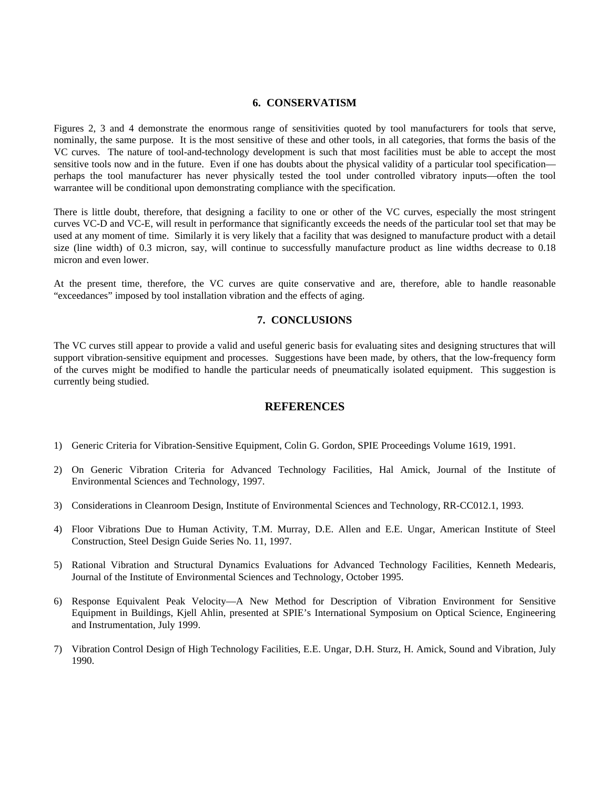#### **6. CONSERVATISM**

Figures 2, 3 and 4 demonstrate the enormous range of sensitivities quoted by tool manufacturers for tools that serve, nominally, the same purpose. It is the most sensitive of these and other tools, in all categories, that forms the basis of the VC curves. The nature of tool-and-technology development is such that most facilities must be able to accept the most sensitive tools now and in the future. Even if one has doubts about the physical validity of a particular tool specification perhaps the tool manufacturer has never physically tested the tool under controlled vibratory inputs—often the tool warrantee will be conditional upon demonstrating compliance with the specification.

There is little doubt, therefore, that designing a facility to one or other of the VC curves, especially the most stringent curves VC-D and VC-E, will result in performance that significantly exceeds the needs of the particular tool set that may be used at any moment of time. Similarly it is very likely that a facility that was designed to manufacture product with a detail size (line width) of 0.3 micron, say, will continue to successfully manufacture product as line widths decrease to 0.18 micron and even lower.

At the present time, therefore, the VC curves are quite conservative and are, therefore, able to handle reasonable "exceedances" imposed by tool installation vibration and the effects of aging.

#### **7. CONCLUSIONS**

The VC curves still appear to provide a valid and useful generic basis for evaluating sites and designing structures that will support vibration-sensitive equipment and processes. Suggestions have been made, by others, that the low-frequency form of the curves might be modified to handle the particular needs of pneumatically isolated equipment. This suggestion is currently being studied.

#### **REFERENCES**

- 1) Generic Criteria for Vibration-Sensitive Equipment, Colin G. Gordon, SPIE Proceedings Volume 1619, 1991.
- 2) On Generic Vibration Criteria for Advanced Technology Facilities, Hal Amick, Journal of the Institute of Environmental Sciences and Technology, 1997.
- 3) Considerations in Cleanroom Design, Institute of Environmental Sciences and Technology, RR-CC012.1, 1993.
- 4) Floor Vibrations Due to Human Activity, T.M. Murray, D.E. Allen and E.E. Ungar, American Institute of Steel Construction, Steel Design Guide Series No. 11, 1997.
- 5) Rational Vibration and Structural Dynamics Evaluations for Advanced Technology Facilities, Kenneth Medearis, Journal of the Institute of Environmental Sciences and Technology, October 1995.
- 6) Response Equivalent Peak Velocity—A New Method for Description of Vibration Environment for Sensitive Equipment in Buildings, Kjell Ahlin, presented at SPIE's International Symposium on Optical Science, Engineering and Instrumentation, July 1999.
- 7) Vibration Control Design of High Technology Facilities, E.E. Ungar, D.H. Sturz, H. Amick, Sound and Vibration, July 1990.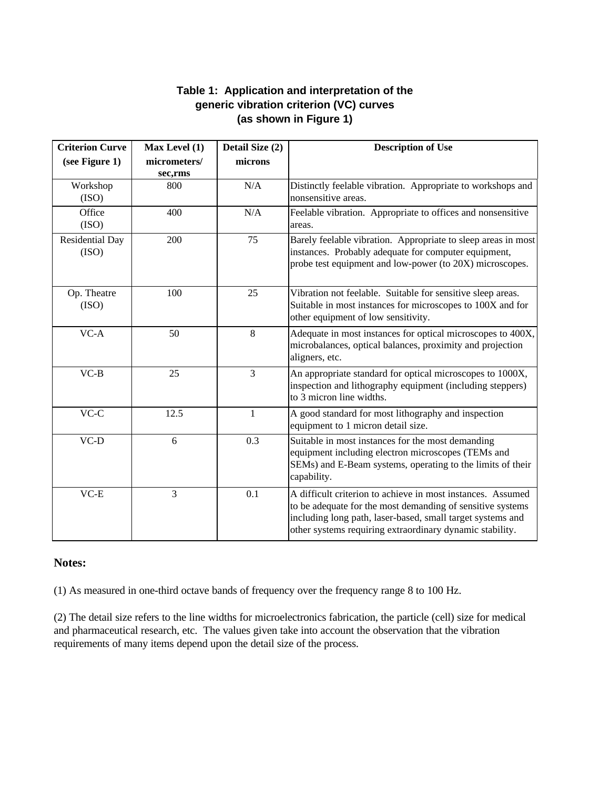## **Table 1: Application and interpretation of the generic vibration criterion (VC) curves (as shown in Figure 1)**

| <b>Criterion Curve</b>          | Max Level (1) | Detail Size (2) | <b>Description of Use</b>                                                                                                                                                                                                                           |
|---------------------------------|---------------|-----------------|-----------------------------------------------------------------------------------------------------------------------------------------------------------------------------------------------------------------------------------------------------|
| (see Figure 1)                  | micrometers/  | microns         |                                                                                                                                                                                                                                                     |
|                                 | sec,rms       |                 |                                                                                                                                                                                                                                                     |
| Workshop<br>(ISO)               | 800           | N/A             | Distinctly feelable vibration. Appropriate to workshops and<br>nonsensitive areas.                                                                                                                                                                  |
| Office<br>(ISO)                 | 400           | N/A             | Feelable vibration. Appropriate to offices and nonsensitive<br>areas.                                                                                                                                                                               |
| <b>Residential Day</b><br>(ISO) | 200           | 75              | Barely feelable vibration. Appropriate to sleep areas in most<br>instances. Probably adequate for computer equipment,<br>probe test equipment and low-power (to 20X) microscopes.                                                                   |
| Op. Theatre<br>(ISO)            | 100           | 25              | Vibration not feelable. Suitable for sensitive sleep areas.<br>Suitable in most instances for microscopes to 100X and for<br>other equipment of low sensitivity.                                                                                    |
| VC-A                            | 50            | 8               | Adequate in most instances for optical microscopes to 400X,<br>microbalances, optical balances, proximity and projection<br>aligners, etc.                                                                                                          |
| $VC-B$                          | 25            | $\overline{3}$  | An appropriate standard for optical microscopes to 1000X,<br>inspection and lithography equipment (including steppers)<br>to 3 micron line widths.                                                                                                  |
| VC-C                            | 12.5          | 1               | A good standard for most lithography and inspection<br>equipment to 1 micron detail size.                                                                                                                                                           |
| VC-D                            | 6             | 0.3             | Suitable in most instances for the most demanding<br>equipment including electron microscopes (TEMs and<br>SEMs) and E-Beam systems, operating to the limits of their<br>capability.                                                                |
| VC-E                            | 3             | 0.1             | A difficult criterion to achieve in most instances. Assumed<br>to be adequate for the most demanding of sensitive systems<br>including long path, laser-based, small target systems and<br>other systems requiring extraordinary dynamic stability. |

## **Notes:**

(1) As measured in one-third octave bands of frequency over the frequency range 8 to 100 Hz.

(2) The detail size refers to the line widths for microelectronics fabrication, the particle (cell) size for medical and pharmaceutical research, etc. The values given take into account the observation that the vibration requirements of many items depend upon the detail size of the process.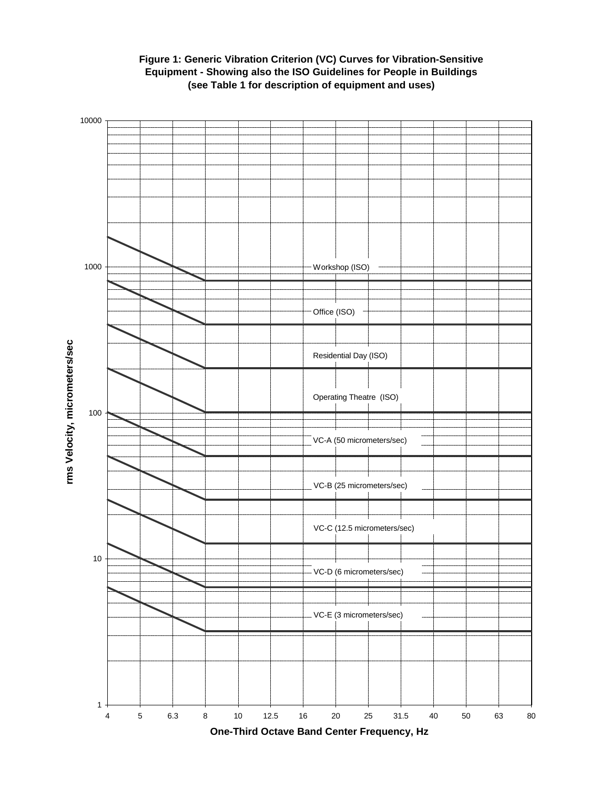

## **Figure 1: Generic Vibration Criterion (VC) Curves for Vibration-Sensitive Equipment - Showing also the ISO Guidelines for People in Buildings (see Table 1 for description of equipment and uses)**

**One-Third Octave Band Center Frequency, Hz**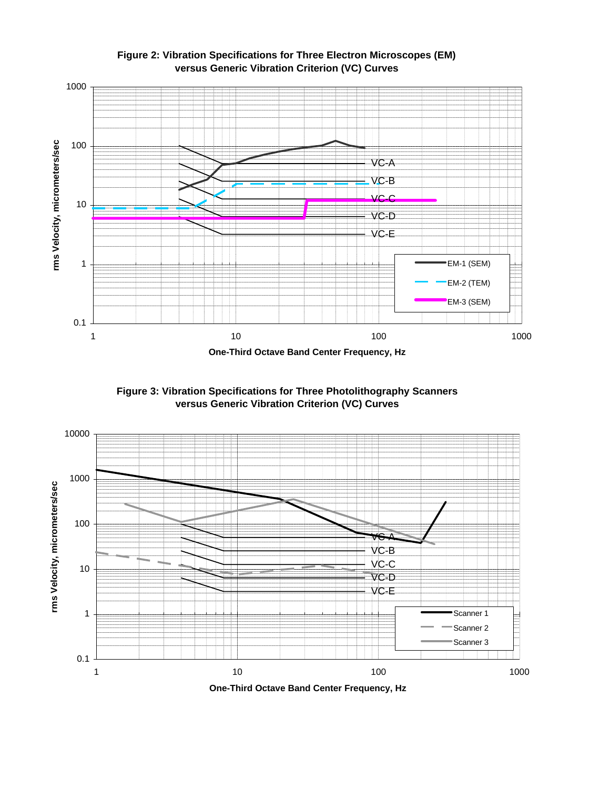

**Figure 2: Vibration Specifications for Three Electron Microscopes (EM) versus Generic Vibration Criterion (VC) Curves**

**Figure 3: Vibration Specifications for Three Photolithography Scanners versus Generic Vibration Criterion (VC) Curves**



**One-Third Octave Band Center Frequency, Hz**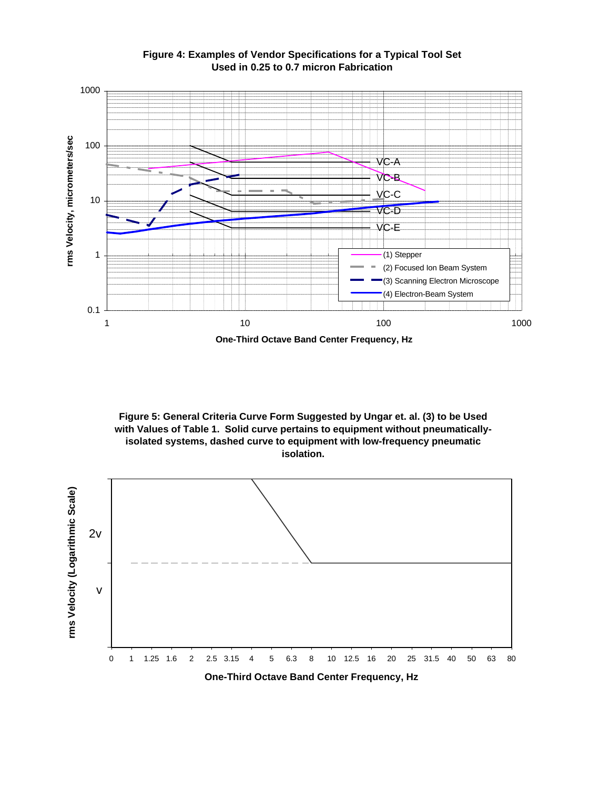

**Figure 4: Examples of Vendor Specifications for a Typical Tool Set Used in 0.25 to 0.7 micron Fabrication**

**Figure 5: General Criteria Curve Form Suggested by Ungar et. al. (3) to be Used with Values of Table 1. Solid curve pertains to equipment without pneumaticallyisolated systems, dashed curve to equipment with low-frequency pneumatic isolation.**

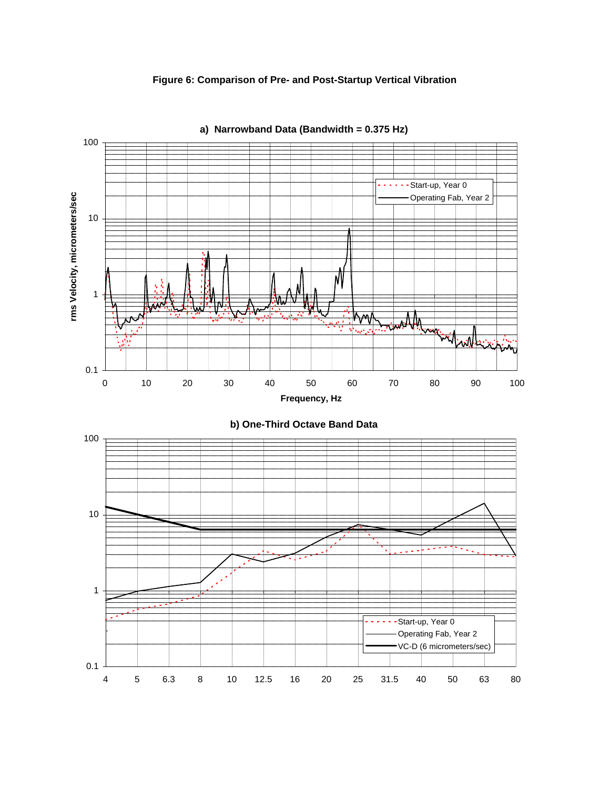## **Figure 6: Comparison of Pre- and Post-Startup Vertical Vibration**



**a) Narrowband Data (Bandwidth = 0.375 Hz)**